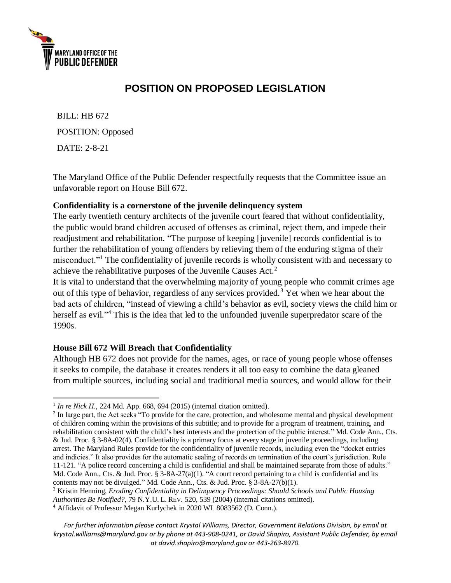

 $\overline{a}$ 

# **POSITION ON PROPOSED LEGISLATION**

BILL: HB 672 POSITION: Opposed DATE: 2-8-21

The Maryland Office of the Public Defender respectfully requests that the Committee issue an unfavorable report on House Bill 672.

#### **Confidentiality is a cornerstone of the juvenile delinquency system**

The early twentieth century architects of the juvenile court feared that without confidentiality, the public would brand children accused of offenses as criminal, reject them, and impede their readjustment and rehabilitation. "The purpose of keeping [juvenile] records confidential is to further the rehabilitation of young offenders by relieving them of the enduring stigma of their misconduct."<sup>1</sup> The confidentiality of juvenile records is wholly consistent with and necessary to achieve the rehabilitative purposes of the Juvenile Causes Act.<sup>2</sup>

It is vital to understand that the overwhelming majority of young people who commit crimes age out of this type of behavior, regardless of any services provided.<sup>3</sup> Yet when we hear about the bad acts of children, "instead of viewing a child's behavior as evil, society views the child him or herself as evil."<sup>4</sup> This is the idea that led to the unfounded juvenile superpredator scare of the 1990s.

## **House Bill 672 Will Breach that Confidentiality**

Although HB 672 does not provide for the names, ages, or race of young people whose offenses it seeks to compile, the database it creates renders it all too easy to combine the data gleaned from multiple sources, including social and traditional media sources, and would allow for their

*For further information please contact Krystal Williams, Director, Government Relations Division, by email at krystal.williams@maryland.gov or by phone at 443-908-0241, or David Shapiro, Assistant Public Defender, by email a[t david.shapiro@maryland.gov](mailto:david.shapiro@maryland.gov) or 443-263-8970.*

 $<sup>1</sup>$  *In re Nick H.*, 224 Md. App. 668, 694 (2015) (internal citation omitted).</sup>

<sup>&</sup>lt;sup>2</sup> In large part, the Act seeks "To provide for the care, protection, and wholesome mental and physical development of children coming within the provisions of this subtitle; and to provide for a program of treatment, training, and rehabilitation consistent with the child's best interests and the protection of the public interest." Md. Code Ann., Cts. & Jud. Proc. § 3-8A-02(4). Confidentiality is a primary focus at every stage in juvenile proceedings, including arrest. The Maryland Rules provide for the confidentiality of juvenile records, including even the "docket entries and indicies." It also provides for the automatic sealing of records on termination of the court's jurisdiction. Rule 11-121. "A police record concerning a child is confidential and shall be maintained separate from those of adults." Md. Code Ann., Cts. & Jud. Proc. § 3-8A-27(a)(1). "A court record pertaining to a child is confidential and its contents may not be divulged." Md. Code Ann., Cts. & Jud. Proc. § 3-8A-27(b)(1).

<sup>3</sup> Kristin Henning, *Eroding Confidentiality in Delinquency Proceedings: Should Schools and Public Housing Authorities Be Notified?*, 79 N.Y.U. L. REV. 520, 539 (2004) (internal citations omitted).

<sup>4</sup> Affidavit of Professor Megan Kurlychek in 2020 WL 8083562 (D. Conn.).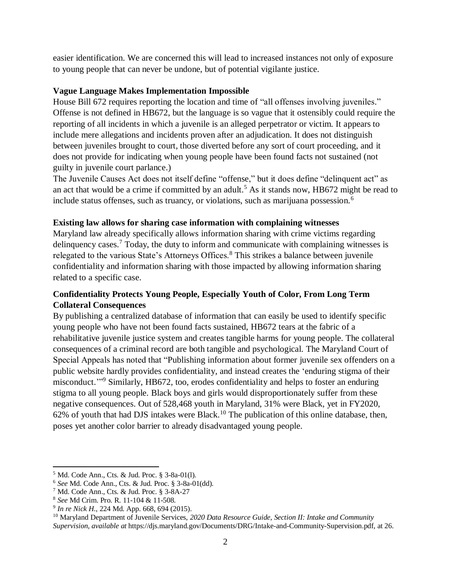easier identification. We are concerned this will lead to increased instances not only of exposure to young people that can never be undone, but of potential vigilante justice.

### **Vague Language Makes Implementation Impossible**

House Bill 672 requires reporting the location and time of "all offenses involving juveniles." Offense is not defined in HB672, but the language is so vague that it ostensibly could require the reporting of all incidents in which a juvenile is an alleged perpetrator or victim. It appears to include mere allegations and incidents proven after an adjudication. It does not distinguish between juveniles brought to court, those diverted before any sort of court proceeding, and it does not provide for indicating when young people have been found facts not sustained (not guilty in juvenile court parlance.)

The Juvenile Causes Act does not itself define "offense," but it does define "delinquent act" as an act that would be a crime if committed by an adult.<sup>5</sup> As it stands now, HB672 might be read to include status offenses, such as truancy, or violations, such as marijuana possession.<sup>6</sup>

#### **Existing law allows for sharing case information with complaining witnesses**

Maryland law already specifically allows information sharing with crime victims regarding delinquency cases. <sup>7</sup> Today, the duty to inform and communicate with complaining witnesses is relegated to the various State's Attorneys Offices.<sup>8</sup> This strikes a balance between juvenile confidentiality and information sharing with those impacted by allowing information sharing related to a specific case.

# **Confidentiality Protects Young People, Especially Youth of Color, From Long Term Collateral Consequences**

By publishing a centralized database of information that can easily be used to identify specific young people who have not been found facts sustained, HB672 tears at the fabric of a rehabilitative juvenile justice system and creates tangible harms for young people. The collateral consequences of a criminal record are both tangible and psychological. The Maryland Court of Special Appeals has noted that "Publishing information about former juvenile sex offenders on a public website hardly provides confidentiality, and instead creates the 'enduring stigma of their misconduct."<sup>9</sup> Similarly, HB672, too, erodes confidentiality and helps to foster an enduring stigma to all young people. Black boys and girls would disproportionately suffer from these negative consequences. Out of 528,468 youth in Maryland, 31% were Black, yet in FY2020, 62% of youth that had DJS intakes were Black.<sup>10</sup> The publication of this online database, then, poses yet another color barrier to already disadvantaged young people.

 $\overline{a}$ 

<sup>5</sup> Md. Code Ann., Cts. & Jud. Proc. § 3-8a-01(l).

<sup>6</sup> *See* Md. Code Ann., Cts. & Jud. Proc. § 3-8a-01(dd).

<sup>7</sup> Md. Code Ann., Cts. & Jud. Proc. § 3-8A-27

<sup>8</sup> *See* Md Crim. Pro. R. 11-104 & 11-508.

<sup>9</sup> *In re Nick H.*, 224 Md. App. 668, 694 (2015).

<sup>&</sup>lt;sup>10</sup> Maryland Department of Juvenile Services, 2020 Data Resource Guide, Section II: Intake and Community *Supervision*, *available at* https://djs.maryland.gov/Documents/DRG/Intake-and-Community-Supervision.pdf, at 26.